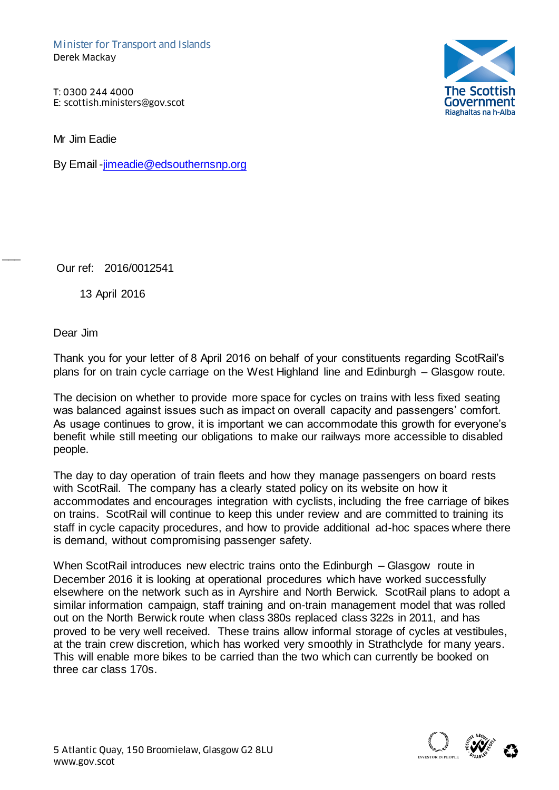T: 0300 244 4000

Mr Jim Eadie

By Email [-jimeadie@edsouthernsnp.org](mailto:jimeadie@edsouthernsnp.org)



Our ref: 2016/0012541

13 April 2016

Dear Jim

 $\overline{\phantom{a}}$ 

Thank you for your letter of 8 April 2016 on behalf of your constituents regarding ScotRail's plans for on train cycle carriage on the West Highland line and Edinburgh – Glasgow route.

The decision on whether to provide more space for cycles on trains with less fixed seating was balanced against issues such as impact on overall capacity and passengers' comfort. As usage continues to grow, it is important we can accommodate this growth for everyone's benefit while still meeting our obligations to make our railways more accessible to disabled people.

The day to day operation of train fleets and how they manage passengers on board rests with ScotRail. The company has a clearly stated policy on its website on how it accommodates and encourages integration with cyclists, including the free carriage of bikes on trains. ScotRail will continue to keep this under review and are committed to training its staff in cycle capacity procedures, and how to provide additional ad-hoc spaces where there is demand, without compromising passenger safety.

When ScotRail introduces new electric trains onto the Edinburgh – Glasgow route in December 2016 it is looking at operational procedures which have worked successfully elsewhere on the network such as in Ayrshire and North Berwick. ScotRail plans to adopt a similar information campaign, staff training and on-train management model that was rolled out on the North Berwick route when class 380s replaced class 322s in 2011, and has proved to be very well received. These trains allow informal storage of cycles at vestibules, at the train crew discretion, which has worked very smoothly in Strathclyde for many years. This will enable more bikes to be carried than the two which can currently be booked on three car class 170s.

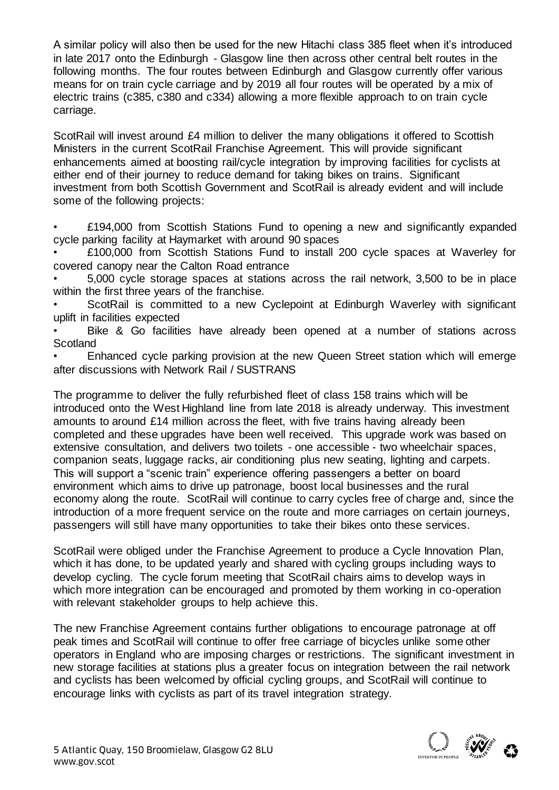A similar policy will also then be used for the new Hitachi class 385 fleet when it's introduced in late 2017 onto the Edinburgh - Glasgow line then across other central belt routes in the following months. The four routes between Edinburgh and Glasgow currently offer various means for on train cycle carriage and by 2019 all four routes will be operated by a mix of electric trains (c385, c380 and c334) allowing a more flexible approach to on train cycle carriage.

ScotRail will invest around £4 million to deliver the many obligations it offered to Scottish Ministers in the current ScotRail Franchise Agreement. This will provide significant enhancements aimed at boosting rail/cycle integration by improving facilities for cyclists at either end of their journey to reduce demand for taking bikes on trains. Significant investment from both Scottish Government and ScotRail is already evident and will include some of the following projects:

£194,000 from Scottish Stations Fund to opening a new and significantly expanded cycle parking facility at Haymarket with around 90 spaces

• £100,000 from Scottish Stations Fund to install 200 cycle spaces at Waverley for covered canopy near the Calton Road entrance

• 5,000 cycle storage spaces at stations across the rail network, 3,500 to be in place within the first three years of the franchise.

ScotRail is committed to a new Cyclepoint at Edinburgh Waverley with significant uplift in facilities expected

Bike & Go facilities have already been opened at a number of stations across **Scotland** 

• Enhanced cycle parking provision at the new Queen Street station which will emerge after discussions with Network Rail / SUSTRANS

The programme to deliver the fully refurbished fleet of class 158 trains which will be introduced onto the West Highland line from late 2018 is already underway. This investment amounts to around £14 million across the fleet, with five trains having already been completed and these upgrades have been well received. This upgrade work was based on extensive consultation, and delivers two toilets - one accessible - two wheelchair spaces, companion seats, luggage racks, air conditioning plus new seating, lighting and carpets. This will support a "scenic train" experience offering passengers a better on board environment which aims to drive up patronage, boost local businesses and the rural economy along the route. ScotRail will continue to carry cycles free of charge and, since the introduction of a more frequent service on the route and more carriages on certain journeys, passengers will still have many opportunities to take their bikes onto these services.

ScotRail were obliged under the Franchise Agreement to produce a Cycle Innovation Plan, which it has done, to be updated yearly and shared with cycling groups including ways to develop cycling. The cycle forum meeting that ScotRail chairs aims to develop ways in which more integration can be encouraged and promoted by them working in co-operation with relevant stakeholder groups to help achieve this.

The new Franchise Agreement contains further obligations to encourage patronage at off peak times and ScotRail will continue to offer free carriage of bicycles unlike some other operators in England who are imposing charges or restrictions. The significant investment in new storage facilities at stations plus a greater focus on integration between the rail network and cyclists has been welcomed by official cycling groups, and ScotRail will continue to encourage links with cyclists as part of its travel integration strategy.